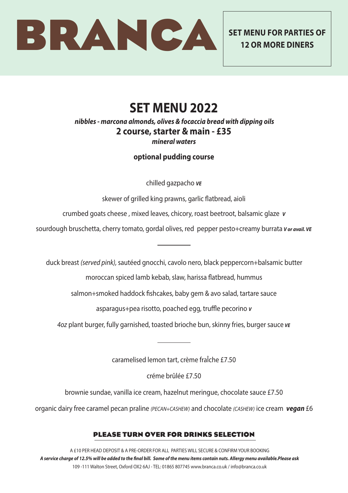

**12 OR MORE DINERS**

# **SET MENU 2022**

#### *nibbles - marcona almonds, olives & focaccia bread with dipping oils* **2 course, starter & main - £35** *mineral waters*

## **optional pudding course**

chilled gazpacho *VE*

skewer of grilled king prawns, garlic flatbread, aioli

crumbed goats cheese , mixed leaves, chicory, roast beetroot, balsamic glaze *V*

sourdough bruschetta, cherry tomato, gordal olives, red pepper pesto+creamy burrata *V or avail. VE* 

duck breast *(served pink),* sautéed gnocchi, cavolo nero, black peppercorn+balsamic butter

moroccan spiced lamb kebab, slaw, harissa flatbread, hummus

salmon+smoked haddock fishcakes, baby gem & avo salad, tartare sauce

asparagus+pea risotto, poached egg, truffle pecorino *<sup>V</sup>*

*4oz* plant burger, fully garnished, toasted brioche bun, skinny fries, burger sauce *VE*

caramelised lemon tart, crème fraÎche £7.50

créme brûlée £7.50

brownie sundae, vanilla ice cream, hazelnut meringue, chocolate sauce £7.50

organic dairy free caramel pecan praline *(PECAN+CASHEW)* and chocolate *(CASHEW)* ice cream *vegan* £6

### PLEASE TURN OVER FOR DRINKS SELECTION

A £10 PER HEAD DEPOSIT & A PRE-ORDER FOR ALL PARTIES WILL SECURE & CONFIRM YOUR BOOKING *A service charge of 12.5% will be added to the final bill. Some of the menu items contain nuts. Allergy menu available.Please ask* 109 -111 Walton Street, Oxford OX2 6AJ - TEL: 01865 807745 www.branca.co.uk / info@branca.co.uk